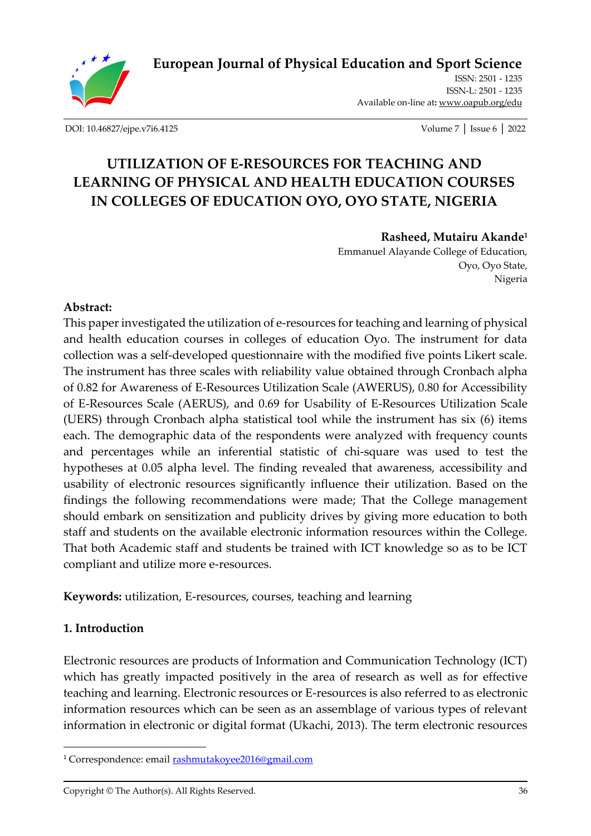

**[European Journal of Physical Education and Sport Science](http://oapub.org/edu/index.php/ejep)**

ISSN: 2501 - 1235 ISSN-L: 2501 - 1235 Available on-line at**:** [www.oapub.org/edu](http://www.oapub.org/edu)

[DOI: 10.46827/ejpe.v7i6.4125](http://dx.doi.org/10.46827/ejpe.v7i6.4125) Volume 7 │ Issue 6 │ 2022

# **UTILIZATION OF E-RESOURCES FOR TEACHING AND LEARNING OF PHYSICAL AND HEALTH EDUCATION COURSES IN COLLEGES OF EDUCATION OYO, OYO STATE, NIGERIA**

#### **Rasheed, Mutairu Akande<sup>1</sup>**

Emmanuel Alayande College of Education, Oyo, Oyo State, Nigeria

#### **Abstract:**

This paper investigated the utilization of e-resources for teaching and learning of physical and health education courses in colleges of education Oyo. The instrument for data collection was a self-developed questionnaire with the modified five points Likert scale. The instrument has three scales with reliability value obtained through Cronbach alpha of 0.82 for Awareness of E-Resources Utilization Scale (AWERUS), 0.80 for Accessibility of E-Resources Scale (AERUS), and 0.69 for Usability of E-Resources Utilization Scale (UERS) through Cronbach alpha statistical tool while the instrument has six (6) items each. The demographic data of the respondents were analyzed with frequency counts and percentages while an inferential statistic of chi-square was used to test the hypotheses at 0.05 alpha level. The finding revealed that awareness, accessibility and usability of electronic resources significantly influence their utilization. Based on the findings the following recommendations were made; That the College management should embark on sensitization and publicity drives by giving more education to both staff and students on the available electronic information resources within the College. That both Academic staff and students be trained with ICT knowledge so as to be ICT compliant and utilize more e-resources.

**Keywords:** utilization, E-resources, courses, teaching and learning

#### **1. Introduction**

Electronic resources are products of Information and Communication Technology (ICT) which has greatly impacted positively in the area of research as well as for effective teaching and learning. Electronic resources or E-resources is also referred to as electronic information resources which can be seen as an assemblage of various types of relevant information in electronic or digital format (Ukachi, 2013). The term electronic resources

<sup>&</sup>lt;sup>1</sup> Correspondence: email **rashmutakoyee2016@gmail.com**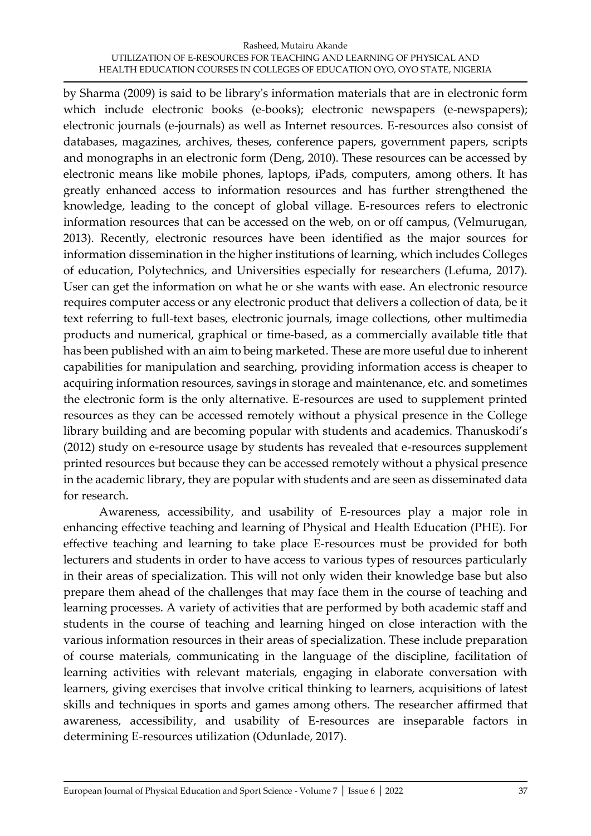#### Rasheed, Mutairu Akande UTILIZATION OF E-RESOURCES FOR TEACHING AND LEARNING OF PHYSICAL AND HEALTH EDUCATION COURSES IN COLLEGES OF EDUCATION OYO, OYO STATE, NIGERIA

by Sharma (2009) is said to be library's information materials that are in electronic form which include electronic books (e-books); electronic newspapers (e-newspapers); electronic journals (e-journals) as well as Internet resources. E-resources also consist of databases, magazines, archives, theses, conference papers, government papers, scripts and monographs in an electronic form (Deng, 2010). These resources can be accessed by electronic means like mobile phones, laptops, iPads, computers, among others. It has greatly enhanced access to information resources and has further strengthened the knowledge, leading to the concept of global village. E-resources refers to electronic information resources that can be accessed on the web, on or off campus, (Velmurugan, 2013). Recently, electronic resources have been identified as the major sources for information dissemination in the higher institutions of learning, which includes Colleges of education, Polytechnics, and Universities especially for researchers (Lefuma, 2017). User can get the information on what he or she wants with ease. An electronic resource requires computer access or any electronic product that delivers a collection of data, be it text referring to full-text bases, electronic journals, image collections, other multimedia products and numerical, graphical or time-based, as a commercially available title that has been published with an aim to being marketed. These are more useful due to inherent capabilities for manipulation and searching, providing information access is cheaper to acquiring information resources, savings in storage and maintenance, etc. and sometimes the electronic form is the only alternative. E-resources are used to supplement printed resources as they can be accessed remotely without a physical presence in the College library building and are becoming popular with students and academics. Thanuskodi's (2012) study on e-resource usage by students has revealed that e-resources supplement printed resources but because they can be accessed remotely without a physical presence in the academic library, they are popular with students and are seen as disseminated data for research.

Awareness, accessibility, and usability of E-resources play a major role in enhancing effective teaching and learning of Physical and Health Education (PHE). For effective teaching and learning to take place E-resources must be provided for both lecturers and students in order to have access to various types of resources particularly in their areas of specialization. This will not only widen their knowledge base but also prepare them ahead of the challenges that may face them in the course of teaching and learning processes. A variety of activities that are performed by both academic staff and students in the course of teaching and learning hinged on close interaction with the various information resources in their areas of specialization. These include preparation of course materials, communicating in the language of the discipline, facilitation of learning activities with relevant materials, engaging in elaborate conversation with learners, giving exercises that involve critical thinking to learners, acquisitions of latest skills and techniques in sports and games among others. The researcher affirmed that awareness, accessibility, and usability of E-resources are inseparable factors in determining E-resources utilization (Odunlade, 2017).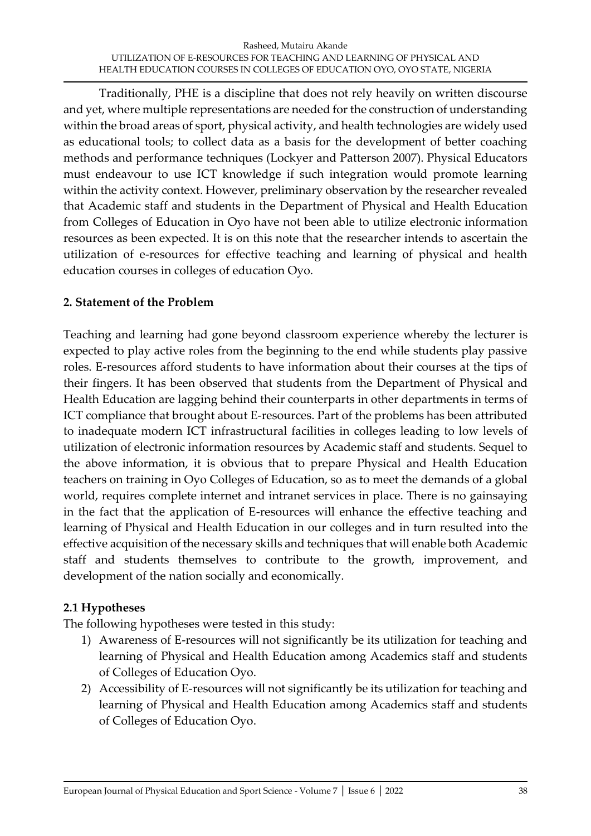Traditionally, PHE is a discipline that does not rely heavily on written discourse and yet, where multiple representations are needed for the construction of understanding within the broad areas of sport, physical activity, and health technologies are widely used as educational tools; to collect data as a basis for the development of better coaching methods and performance techniques (Lockyer and Patterson 2007). Physical Educators must endeavour to use ICT knowledge if such integration would promote learning within the activity context. However, preliminary observation by the researcher revealed that Academic staff and students in the Department of Physical and Health Education from Colleges of Education in Oyo have not been able to utilize electronic information resources as been expected. It is on this note that the researcher intends to ascertain the utilization of e-resources for effective teaching and learning of physical and health education courses in colleges of education Oyo.

# **2. Statement of the Problem**

Teaching and learning had gone beyond classroom experience whereby the lecturer is expected to play active roles from the beginning to the end while students play passive roles. E-resources afford students to have information about their courses at the tips of their fingers. It has been observed that students from the Department of Physical and Health Education are lagging behind their counterparts in other departments in terms of ICT compliance that brought about E-resources. Part of the problems has been attributed to inadequate modern ICT infrastructural facilities in colleges leading to low levels of utilization of electronic information resources by Academic staff and students. Sequel to the above information, it is obvious that to prepare Physical and Health Education teachers on training in Oyo Colleges of Education, so as to meet the demands of a global world, requires complete internet and intranet services in place. There is no gainsaying in the fact that the application of E-resources will enhance the effective teaching and learning of Physical and Health Education in our colleges and in turn resulted into the effective acquisition of the necessary skills and techniques that will enable both Academic staff and students themselves to contribute to the growth, improvement, and development of the nation socially and economically.

#### **2.1 Hypotheses**

The following hypotheses were tested in this study:

- 1) Awareness of E-resources will not significantly be its utilization for teaching and learning of Physical and Health Education among Academics staff and students of Colleges of Education Oyo.
- 2) Accessibility of E-resources will not significantly be its utilization for teaching and learning of Physical and Health Education among Academics staff and students of Colleges of Education Oyo.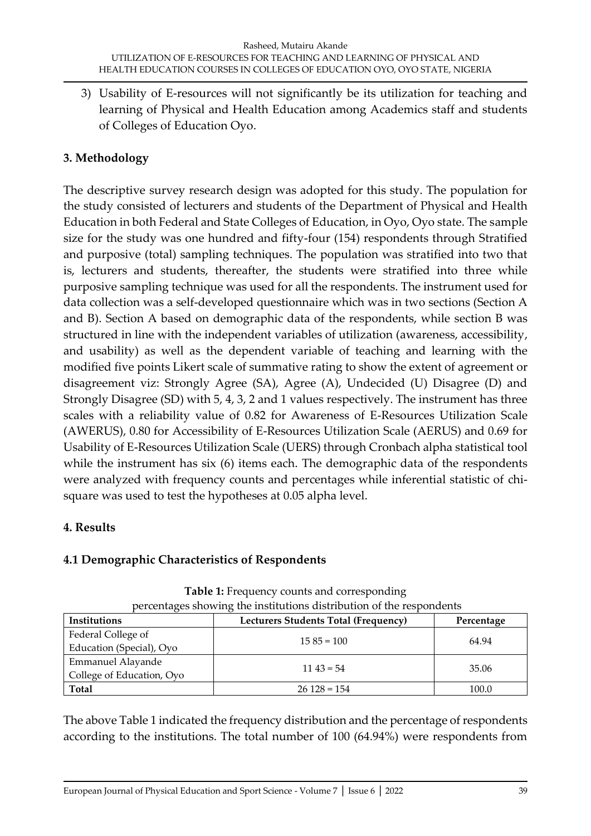3) Usability of E-resources will not significantly be its utilization for teaching and learning of Physical and Health Education among Academics staff and students of Colleges of Education Oyo.

# **3. Methodology**

The descriptive survey research design was adopted for this study. The population for the study consisted of lecturers and students of the Department of Physical and Health Education in both Federal and State Colleges of Education, in Oyo, Oyo state. The sample size for the study was one hundred and fifty-four (154) respondents through Stratified and purposive (total) sampling techniques. The population was stratified into two that is, lecturers and students, thereafter, the students were stratified into three while purposive sampling technique was used for all the respondents. The instrument used for data collection was a self-developed questionnaire which was in two sections (Section A and B). Section A based on demographic data of the respondents, while section B was structured in line with the independent variables of utilization (awareness, accessibility, and usability) as well as the dependent variable of teaching and learning with the modified five points Likert scale of summative rating to show the extent of agreement or disagreement viz: Strongly Agree (SA), Agree (A), Undecided (U) Disagree (D) and Strongly Disagree (SD) with 5, 4, 3, 2 and 1 values respectively. The instrument has three scales with a reliability value of 0.82 for Awareness of E-Resources Utilization Scale (AWERUS), 0.80 for Accessibility of E-Resources Utilization Scale (AERUS) and 0.69 for Usability of E-Resources Utilization Scale (UERS) through Cronbach alpha statistical tool while the instrument has six (6) items each. The demographic data of the respondents were analyzed with frequency counts and percentages while inferential statistic of chisquare was used to test the hypotheses at 0.05 alpha level.

# **4. Results**

# **4.1 Demographic Characteristics of Respondents**

| Institutions              | Lecturers Students Total (Frequency) | Percentage |  |
|---------------------------|--------------------------------------|------------|--|
| Federal College of        | $15.85 = 100$                        | 64.94      |  |
| Education (Special), Oyo  |                                      |            |  |
| Emmanuel Alayande         | $11\,43 = 54$                        | 35.06      |  |
| College of Education, Oyo |                                      |            |  |
| Total                     | $26128 = 154$                        | 100.0      |  |

**Table 1:** Frequency counts and corresponding percentages showing the institutions distribution of the respondents

The above Table 1 indicated the frequency distribution and the percentage of respondents according to the institutions. The total number of 100 (64.94%) were respondents from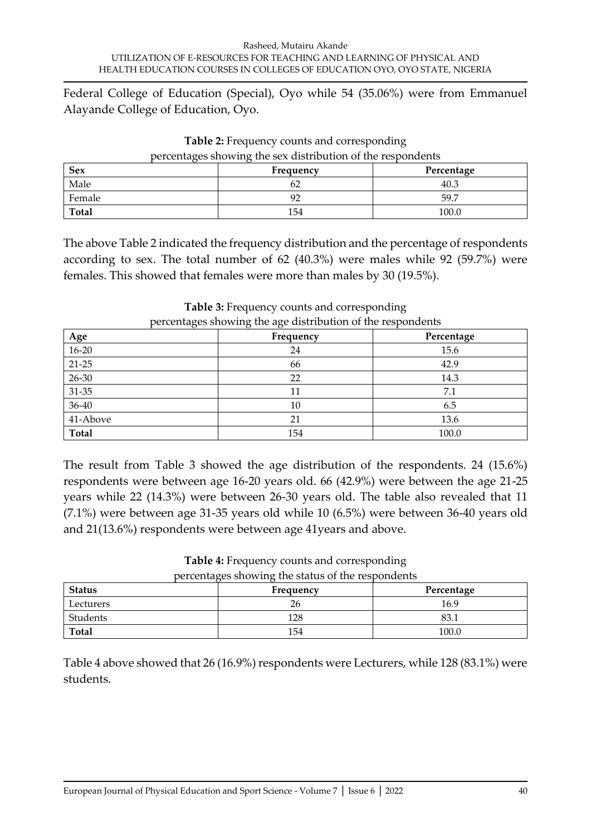Federal College of Education (Special), Oyo while 54 (35.06%) were from Emmanuel Alayande College of Education, Oyo.

| <b>Sex</b>   | Frequency<br>Percentage |       |  |  |
|--------------|-------------------------|-------|--|--|
| Male         |                         | 40.3  |  |  |
| Female       |                         | 59.7  |  |  |
| <b>Total</b> | 154                     | 100.0 |  |  |

**Table 2:** Frequency counts and corresponding percentages showing the sex distribution of the respondents

The above Table 2 indicated the frequency distribution and the percentage of respondents according to sex. The total number of 62 (40.3%) were males while 92 (59.7%) were females. This showed that females were more than males by 30 (19.5%).

| Age          | Frequency | Percentage |
|--------------|-----------|------------|
| $16 - 20$    | 24        | 15.6       |
| $21 - 25$    | 66        | 42.9       |
| $26 - 30$    | 22        | 14.3       |
| $31 - 35$    | 11        | 7.1        |
| $36 - 40$    | 10        | 6.5        |
| 41-Above     | 21        | 13.6       |
| <b>Total</b> | 154       | 100.0      |

**Table 3:** Frequency counts and corresponding percentages showing the age distribution of the respondents

The result from Table 3 showed the age distribution of the respondents. 24 (15.6%) respondents were between age 16-20 years old. 66 (42.9%) were between the age 21-25 years while 22 (14.3%) were between 26-30 years old. The table also revealed that 11 (7.1%) were between age 31-35 years old while 10 (6.5%) were between 36-40 years old and 21(13.6%) respondents were between age 41years and above.

| percentages showing the status of the respondents |           |            |  |  |
|---------------------------------------------------|-----------|------------|--|--|
| <b>Status</b>                                     | Frequency | Percentage |  |  |
| Lecturers                                         | 26        | 16.9       |  |  |
| Students                                          | 128       | 83.        |  |  |
| Total                                             | 154       | 100.0      |  |  |

**Table 4:** Frequency counts and corresponding

Table 4 above showed that 26 (16.9%) respondents were Lecturers, while 128 (83.1%) were students.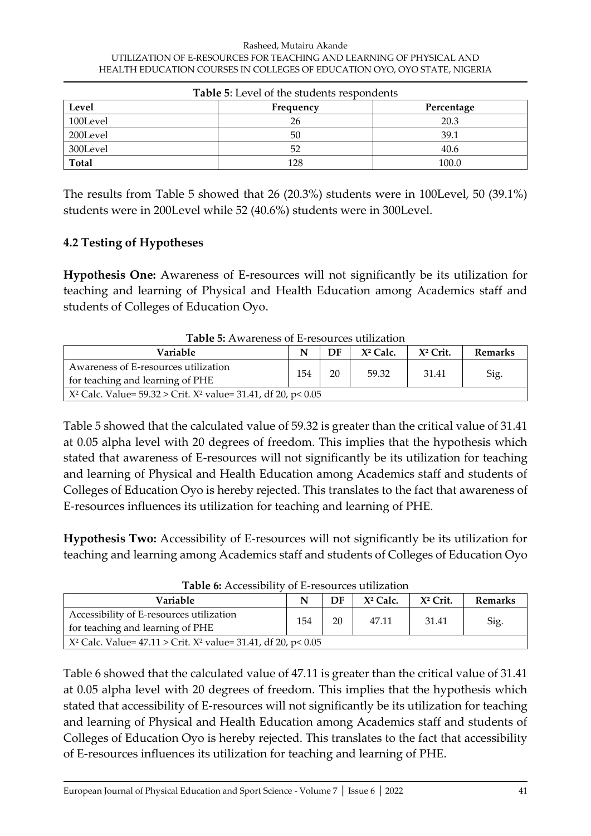| <b>Table 5:</b> Level of the students respondents |           |            |  |  |
|---------------------------------------------------|-----------|------------|--|--|
| Level                                             | Frequency | Percentage |  |  |
| 100Level                                          | 26        | 20.3       |  |  |
| 200Level                                          | 50        | 39.1       |  |  |
| 300Level                                          | 52        | 40.6       |  |  |
| <b>Total</b>                                      | 128       | 100.0      |  |  |

The results from Table 5 showed that 26 (20.3%) students were in 100Level, 50 (39.1%) students were in 200Level while 52 (40.6%) students were in 300Level.

## **4.2 Testing of Hypotheses**

**Hypothesis One:** Awareness of E-resources will not significantly be its utilization for teaching and learning of Physical and Health Education among Academics staff and students of Colleges of Education Oyo.

| Tapie 9. Awareness of E-resources utilization                            |     |    |             |             |                |
|--------------------------------------------------------------------------|-----|----|-------------|-------------|----------------|
| Variable                                                                 | N   | DF | $X^2$ Calc. | $X^2$ Crit. | <b>Remarks</b> |
| Awareness of E-resources utilization<br>for teaching and learning of PHE | 154 | 20 | 59.32       | 31.41       | Sig.           |
| $X^2$ Calc. Value= 59.32 > Crit. $X^2$ value= 31.41, df 20, p< 0.05      |     |    |             |             |                |

**Table 5:** Awareness of E-resources utilization

Table 5 showed that the calculated value of 59.32 is greater than the critical value of 31.41 at 0.05 alpha level with 20 degrees of freedom. This implies that the hypothesis which stated that awareness of E-resources will not significantly be its utilization for teaching and learning of Physical and Health Education among Academics staff and students of Colleges of Education Oyo is hereby rejected. This translates to the fact that awareness of E-resources influences its utilization for teaching and learning of PHE.

**Hypothesis Two:** Accessibility of E-resources will not significantly be its utilization for teaching and learning among Academics staff and students of Colleges of Education Oyo

| <b>Table 6:</b> Accessibility of E-resources utilization                     |     |    |             |             |                |
|------------------------------------------------------------------------------|-----|----|-------------|-------------|----------------|
| Variable                                                                     |     | DF | $X^2$ Calc. | $X^2$ Crit. | <b>Remarks</b> |
| Accessibility of E-resources utilization<br>for teaching and learning of PHE | 154 | 20 | 47.11       | 31.41       | Sig.           |
| $\chi^2$ Calc. Value= 47.11 > Crit. $X^2$ value= 31.41, df 20, p< 0.05       |     |    |             |             |                |

**Table 6:** Accessibility of E-resources utilization

Table 6 showed that the calculated value of 47.11 is greater than the critical value of 31.41 at 0.05 alpha level with 20 degrees of freedom. This implies that the hypothesis which stated that accessibility of E-resources will not significantly be its utilization for teaching and learning of Physical and Health Education among Academics staff and students of Colleges of Education Oyo is hereby rejected. This translates to the fact that accessibility of E-resources influences its utilization for teaching and learning of PHE.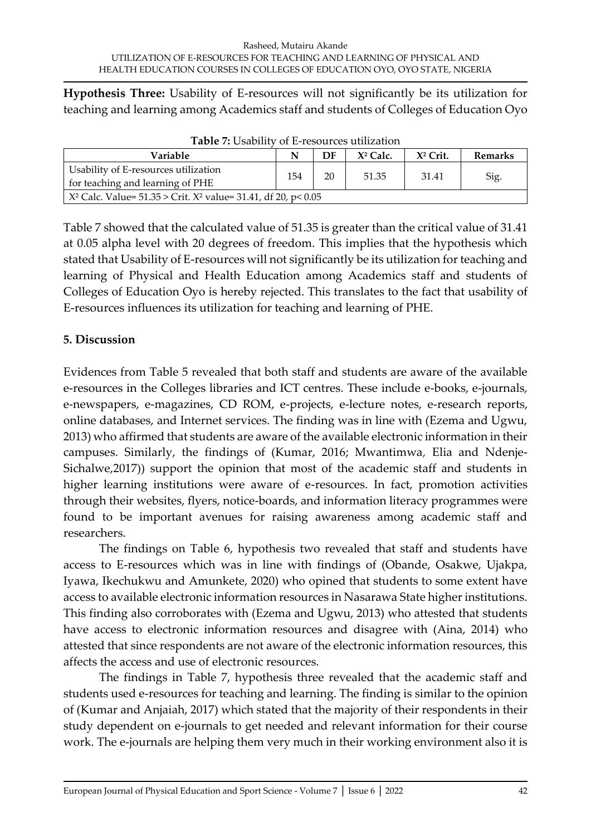**Hypothesis Three:** Usability of E-resources will not significantly be its utilization for teaching and learning among Academics staff and students of Colleges of Education Oyo

| Tubic A. Coupmer of E Teogueco utmzution                                 |     |    |             |            |                |
|--------------------------------------------------------------------------|-----|----|-------------|------------|----------------|
| Variable                                                                 |     | DF | $X^2$ Calc. | $X2$ Crit. | <b>Remarks</b> |
| Usability of E-resources utilization<br>for teaching and learning of PHE | 154 | 20 | 51.35       | 31.41      | Sig.           |
| $X^2$ Calc. Value= 51.35 > Crit. $X^2$ value= 31.41, df 20, p< 0.05      |     |    |             |            |                |

**Table 7:** Usability of E-resources utilization

Table 7 showed that the calculated value of 51.35 is greater than the critical value of 31.41 at 0.05 alpha level with 20 degrees of freedom. This implies that the hypothesis which stated that Usability of E-resources will not significantly be its utilization for teaching and learning of Physical and Health Education among Academics staff and students of Colleges of Education Oyo is hereby rejected. This translates to the fact that usability of E-resources influences its utilization for teaching and learning of PHE.

## **5. Discussion**

Evidences from Table 5 revealed that both staff and students are aware of the available e-resources in the Colleges libraries and ICT centres. These include e-books, e-journals, e-newspapers, e-magazines, CD ROM, e-projects, e-lecture notes, e-research reports, online databases, and Internet services. The finding was in line with (Ezema and Ugwu, 2013) who affirmed that students are aware of the available electronic information in their campuses. Similarly, the findings of (Kumar, 2016; Mwantimwa*,* Elia and Ndenje-Sichalwe,2017)) support the opinion that most of the academic staff and students in higher learning institutions were aware of e-resources. In fact, promotion activities through their websites, flyers, notice-boards, and information literacy programmes were found to be important avenues for raising awareness among academic staff and researchers.

The findings on Table 6, hypothesis two revealed that staff and students have access to E-resources which was in line with findings of (Obande, Osakwe, Ujakpa, Iyawa, Ikechukwu and Amunkete, 2020) who opined that students to some extent have access to available electronic information resources in Nasarawa State higher institutions. This finding also corroborates with (Ezema and Ugwu, 2013) who attested that students have access to electronic information resources and disagree with (Aina, 2014) who attested that since respondents are not aware of the electronic information resources, this affects the access and use of electronic resources.

The findings in Table 7, hypothesis three revealed that the academic staff and students used e-resources for teaching and learning. The finding is similar to the opinion of (Kumar and Anjaiah, 2017) which stated that the majority of their respondents in their study dependent on e-journals to get needed and relevant information for their course work. The e-journals are helping them very much in their working environment also it is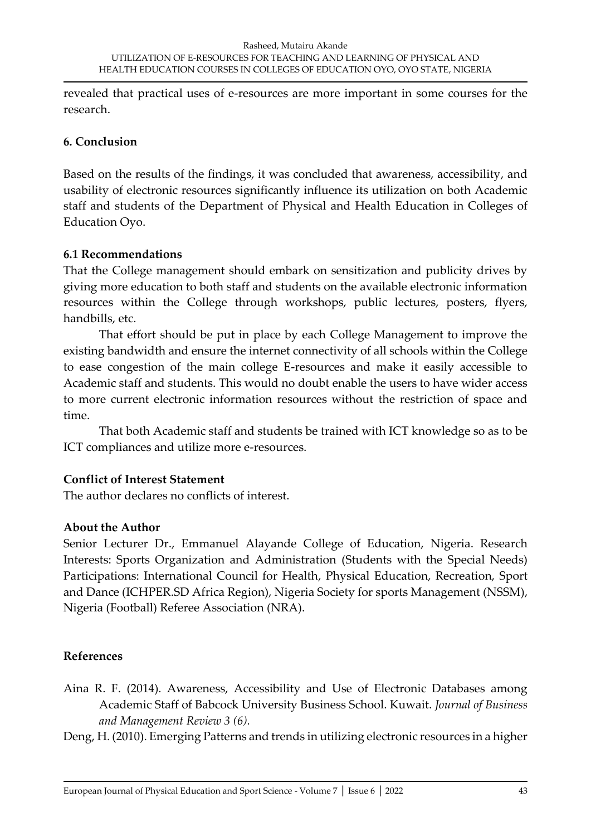revealed that practical uses of e-resources are more important in some courses for the research.

#### **6. Conclusion**

Based on the results of the findings, it was concluded that awareness, accessibility, and usability of electronic resources significantly influence its utilization on both Academic staff and students of the Department of Physical and Health Education in Colleges of Education Oyo.

## **6.1 Recommendations**

That the College management should embark on sensitization and publicity drives by giving more education to both staff and students on the available electronic information resources within the College through workshops, public lectures, posters, flyers, handbills, etc.

That effort should be put in place by each College Management to improve the existing bandwidth and ensure the internet connectivity of all schools within the College to ease congestion of the main college E-resources and make it easily accessible to Academic staff and students. This would no doubt enable the users to have wider access to more current electronic information resources without the restriction of space and time.

That both Academic staff and students be trained with ICT knowledge so as to be ICT compliances and utilize more e-resources.

# **Conflict of Interest Statement**

The author declares no conflicts of interest.

# **About the Author**

Senior Lecturer Dr., Emmanuel Alayande College of Education, Nigeria. Research Interests: Sports Organization and Administration (Students with the Special Needs) Participations: International Council for Health, Physical Education, Recreation, Sport and Dance (ICHPER.SD Africa Region), Nigeria Society for sports Management (NSSM), Nigeria (Football) Referee Association (NRA).

# **References**

Aina R. F. (2014). Awareness, Accessibility and Use of Electronic Databases among Academic Staff of Babcock University Business School. Kuwait. *Journal of Business and Management Review 3 (6).*

Deng, H. (2010). Emerging Patterns and trends in utilizing electronic resources in a higher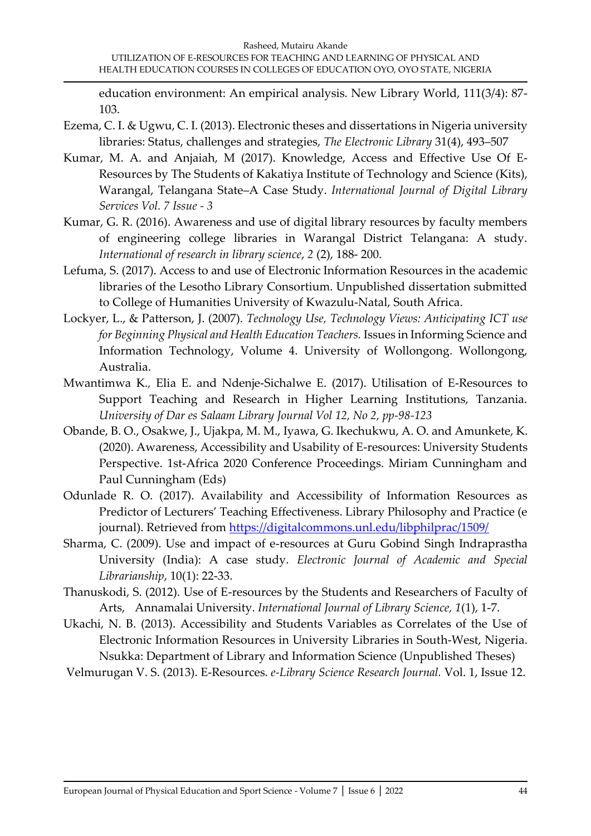education environment: An empirical analysis. New Library World, 111(3/4): 87- 103.

- Ezema, C. I. & Ugwu, C. I. (2013). Electronic theses and dissertations in Nigeria university libraries: Status, challenges and strategies, *The Electronic Library* 31(4), 493–507
- Kumar, M. A. and Anjaiah, M (2017). Knowledge, Access and Effective Use Of E-Resources by The Students of Kakatiya Institute of Technology and Science (Kits), Warangal, Telangana State–A Case Study. *International Journal of Digital Library Services Vol. 7 Issue - 3*
- Kumar, G. R. (2016). Awareness and use of digital library resources by faculty members of engineering college libraries in Warangal District Telangana: A study. *International of research in library science*, *2* (2), 188- 200.
- Lefuma, S. (2017). Access to and use of Electronic Information Resources in the academic libraries of the Lesotho Library Consortium. Unpublished dissertation submitted to College of Humanities University of Kwazulu-Natal, South Africa.
- Lockyer, L., & Patterson, J. (2007). *Technology Use, Technology Views: Anticipating ICT use for Beginning Physical and Health Education Teachers.* Issues in Informing Science and Information Technology, Volume 4. University of Wollongong. Wollongong, Australia.
- Mwantimwa K.*,* Elia E. and Ndenje-Sichalwe E. (2017). Utilisation of E-Resources to Support Teaching and Research in Higher Learning Institutions, Tanzania. *University of Dar es Salaam Library Journal Vol 12, No 2, pp-98-123*
- Obande, B. O., Osakwe, J., Ujakpa, M. M., Iyawa, G. Ikechukwu, A. O. and Amunkete, K. (2020). Awareness, Accessibility and Usability of E-resources: University Students Perspective. 1st-Africa 2020 Conference Proceedings. Miriam Cunningham and Paul Cunningham (Eds)
- Odunlade R. O. (2017). Availability and Accessibility of Information Resources as Predictor of Lecturers' Teaching Effectiveness. Library Philosophy and Practice (e journal). Retrieved from<https://digitalcommons.unl.edu/libphilprac/1509/>
- Sharma, C. (2009). Use and impact of e-resources at Guru Gobind Singh Indraprastha University (India): A case study. *Electronic Journal of Academic and Special Librarianship*, 10(1): 22-33.
- Thanuskodi, S. (2012). Use of E-resources by the Students and Researchers of Faculty of Arts, Annamalai University. *International Journal of Library Science, 1*(1), 1‐7.
- Ukachi, N. B. (2013). Accessibility and Students Variables as Correlates of the Use of Electronic Information Resources in University Libraries in South-West, Nigeria. Nsukka: Department of Library and Information Science (Unpublished Theses)

Velmurugan V. S. (2013). E-Resources. *e-Library Science Research Journal.* Vol. 1, Issue 12.